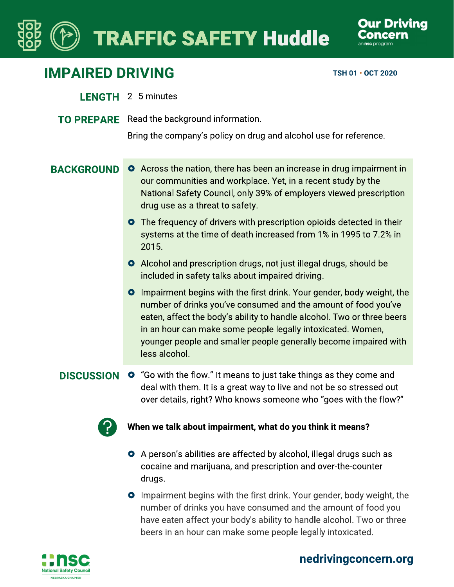# **TRAFFIC SAFETY Huddle**



## **IMPAIRED DRIVING**

TSH 01 · OCT 2020

- LENGTH 2-5 minutes
- **TO PREPARE** Read the background information.

Bring the company's policy on drug and alcohol use for reference.

- **BACKGROUND O** Across the nation, there has been an increase in drug impairment in our communities and workplace. Yet, in a recent study by the National Safety Council, only 39% of employers viewed prescription drug use as a threat to safety.
	- **O** The frequency of drivers with prescription opioids detected in their systems at the time of death increased from 1% in 1995 to 7.2% in 2015.
	- Alcohol and prescription drugs, not just illegal drugs, should be included in safety talks about impaired driving.
	- **O** Impairment begins with the first drink. Your gender, body weight, the number of drinks you've consumed and the amount of food you've eaten, affect the body's ability to handle alcohol. Two or three beers in an hour can make some people legally intoxicated. Women, younger people and smaller people generally become impaired with less alcohol.

**DISCUSSION O** "Go with the flow." It means to just take things as they come and deal with them. It is a great way to live and not be so stressed out over details, right? Who knows someone who "goes with the flow?"



## When we talk about impairment, what do you think it means?

- **O** A person's abilities are affected by alcohol, illegal drugs such as cocaine and marijuana, and prescription and over-the-counter drugs.
- **O** Impairment begins with the first drink. Your gender, body weight, the number of drinks you have consumed and the amount of food you have eaten affect your body's ability to handle alcohol. Two or three beers in an hour can make some people legally intoxicated.